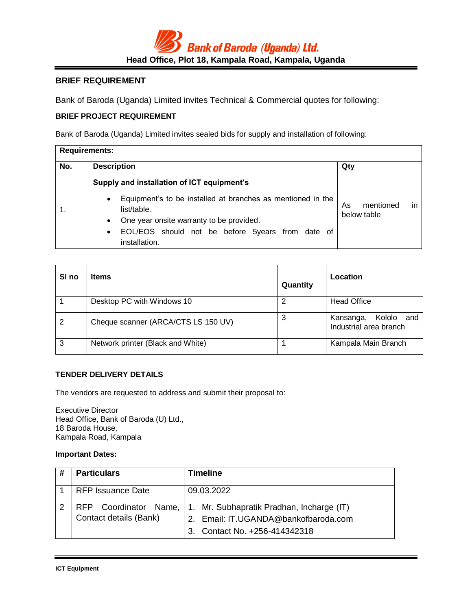

# **BRIEF REQUIREMENT**

Bank of Baroda (Uganda) Limited invites Technical & Commercial quotes for following:

# **BRIEF PROJECT REQUIREMENT**

Bank of Baroda (Uganda) Limited invites sealed bids for supply and installation of following:

| <b>Requirements:</b> |                                                                                                                                                                                                                                                                                  |                                       |
|----------------------|----------------------------------------------------------------------------------------------------------------------------------------------------------------------------------------------------------------------------------------------------------------------------------|---------------------------------------|
| No.                  | <b>Description</b>                                                                                                                                                                                                                                                               | Qty                                   |
|                      | Supply and installation of ICT equipment's<br>Equipment's to be installed at branches as mentioned in the<br>$\bullet$<br>list/table.<br>One year onsite warranty to be provided.<br>$\bullet$<br>EOL/EOS should not be before 5years from date of<br>$\bullet$<br>installation. | mentioned<br>As<br>in.<br>below table |

| SI <sub>no</sub> | <b>Items</b>                        | Quantity | Location                                             |
|------------------|-------------------------------------|----------|------------------------------------------------------|
|                  | Desktop PC with Windows 10          |          | <b>Head Office</b>                                   |
| 2                | Cheque scanner (ARCA/CTS LS 150 UV) | 3        | Kololo<br>Kansanga,<br>and<br>Industrial area branch |
| 3                | Network printer (Black and White)   |          | Kampala Main Branch                                  |

## **TENDER DELIVERY DETAILS**

The vendors are requested to address and submit their proposal to:

Executive Director Head Office, Bank of Baroda (U) Ltd., 18 Baroda House, Kampala Road, Kampala

### **Important Dates:**

| # | <b>Particulars</b>       | Timeline                                                                                                                                 |
|---|--------------------------|------------------------------------------------------------------------------------------------------------------------------------------|
|   | <b>RFP Issuance Date</b> | 09.03.2022                                                                                                                               |
|   | Contact details (Bank)   | RFP Coordinator Name, 1. Mr. Subhapratik Pradhan, Incharge (IT)<br>2. Email: IT.UGANDA@bankofbaroda.com<br>3. Contact No. +256-414342318 |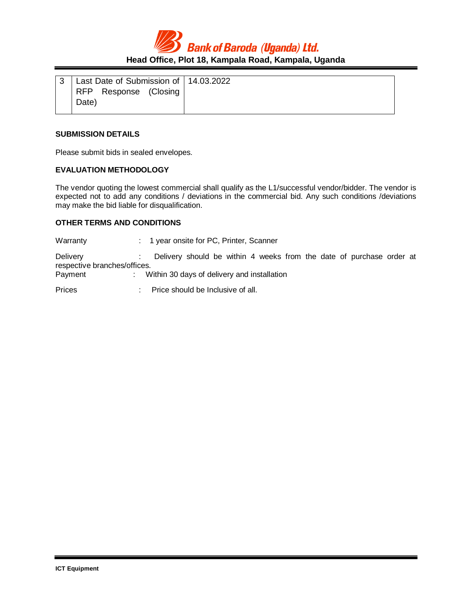**Bank of Baroda (Uganda) Ltd. Head Office, Plot 18, Kampala Road, Kampala, Uganda**

| Last Date of Submission of   14.03.2022 |  |
|-----------------------------------------|--|
| RFP Response (Closing<br>Date)          |  |

#### **SUBMISSION DETAILS**

Please submit bids in sealed envelopes.

#### **EVALUATION METHODOLOGY**

The vendor quoting the lowest commercial shall qualify as the L1/successful vendor/bidder. The vendor is expected not to add any conditions / deviations in the commercial bid. Any such conditions /deviations may make the bid liable for disqualification.

#### **OTHER TERMS AND CONDITIONS**

Warranty : 1 year onsite for PC, Printer, Scanner Delivery : Delivery should be within 4 weeks from the date of purchase order at respective branches/offices. Payment : Within 30 days of delivery and installation Prices : Price should be Inclusive of all.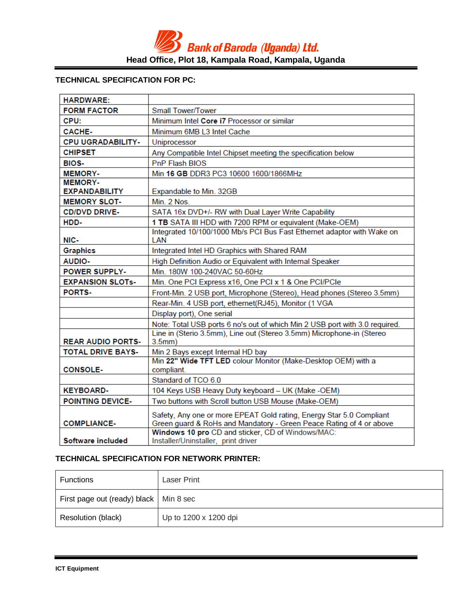# **TECHNICAL SPECIFICATION FOR PC:**

| <b>HARDWARE:</b>         |                                                                                                                                             |
|--------------------------|---------------------------------------------------------------------------------------------------------------------------------------------|
| <b>FORM FACTOR</b>       | Small Tower/Tower                                                                                                                           |
| CPU:                     | Minimum Intel Core i7 Processor or similar                                                                                                  |
| <b>CACHE-</b>            | Minimum 6MB L3 Intel Cache                                                                                                                  |
| <b>CPU UGRADABILITY-</b> | Uniprocessor                                                                                                                                |
| <b>CHIPSET</b>           | Any Compatible Intel Chipset meeting the specification below                                                                                |
| <b>BIOS-</b>             | <b>PnP Flash BIOS</b>                                                                                                                       |
| <b>MEMORY-</b>           | Min 16 GB DDR3 PC3 10600 1600/1866MHz                                                                                                       |
| <b>MEMORY-</b>           |                                                                                                                                             |
| <b>EXPANDABILITY</b>     | Expandable to Min. 32GB                                                                                                                     |
| <b>MEMORY SLOT-</b>      | Min. 2 Nos.                                                                                                                                 |
| <b>CD/DVD DRIVE-</b>     | SATA 16x DVD+/- RW with Dual Layer Write Capability                                                                                         |
| HDD-                     | 1 TB SATA III HDD with 7200 RPM or equivalent (Make-OEM)                                                                                    |
| NIC-                     | Integrated 10/100/1000 Mb/s PCI Bus Fast Ethernet adaptor with Wake on<br>LAN                                                               |
| <b>Graphics</b>          | Integrated Intel HD Graphics with Shared RAM                                                                                                |
| <b>AUDIO-</b>            | High Definition Audio or Equivalent with Internal Speaker                                                                                   |
| <b>POWER SUPPLY-</b>     | Min. 180W 100-240VAC 50-60Hz                                                                                                                |
| <b>EXPANSION SLOTs-</b>  | Min. One PCI Express x16, One PCI x 1 & One PCI/PCIe                                                                                        |
| <b>PORTS-</b>            | Front-Min. 2 USB port, Microphone (Stereo), Head phones (Stereo 3.5mm)                                                                      |
|                          | Rear-Min. 4 USB port, ethernet(RJ45), Monitor (1 VGA                                                                                        |
|                          | Display port), One serial                                                                                                                   |
|                          | Note: Total USB ports 6 no's out of which Min 2 USB port with 3.0 required.                                                                 |
|                          | Line in (Sterio 3.5mm), Line out (Stereo 3.5mm) Microphone-in (Stereo                                                                       |
| <b>REAR AUDIO PORTS-</b> | 3.5mm)                                                                                                                                      |
| <b>TOTAL DRIVE BAYS-</b> | Min 2 Bays except Internal HD bay<br>Min 22" Wide TFT LED colour Monitor (Make-Desktop OEM) with a                                          |
| <b>CONSOLE-</b>          | compliant.                                                                                                                                  |
|                          | Standard of TCO 6.0                                                                                                                         |
| <b>KEYBOARD-</b>         | 104 Keys USB Heavy Duty keyboard - UK (Make -OEM)                                                                                           |
| <b>POINTING DEVICE-</b>  | Two buttons with Scroll button USB Mouse (Make-OEM)                                                                                         |
|                          |                                                                                                                                             |
| <b>COMPLIANCE-</b>       | Safety, Any one or more EPEAT Gold rating, Energy Star 5.0 Compliant<br>Green guard & RoHs and Mandatory - Green Peace Rating of 4 or above |
|                          | Windows 10 pro CD and sticker, CD of Windows/MAC:                                                                                           |
| Software included        | Installer/Uninstaller, print driver                                                                                                         |

## **TECHNICAL SPECIFICATION FOR NETWORK PRINTER:**

| <b>Functions</b>                         | <b>Laser Print</b>    |
|------------------------------------------|-----------------------|
| First page out (ready) black   Min 8 sec |                       |
| Resolution (black)                       | Up to 1200 x 1200 dpi |